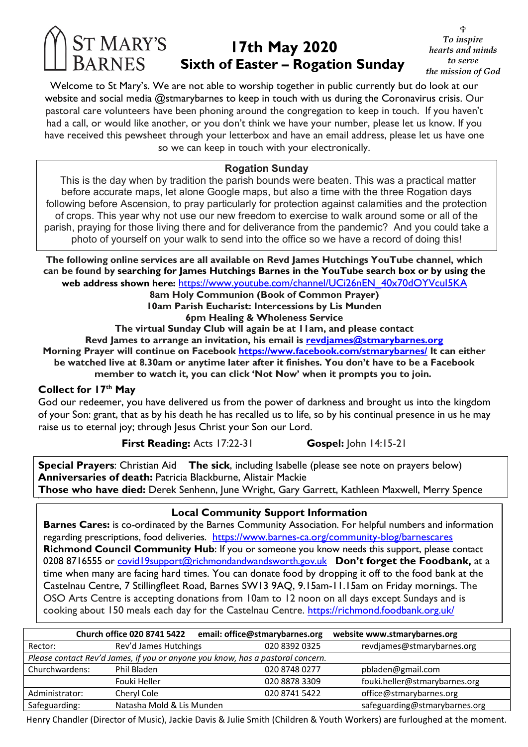# **17th May 2020 Sixth of Easter – Rogation Sunday**

U *To inspire hearts and minds to serve the mission of God* 

Welcome to St Mary's. We are not able to worship together in public currently but do look at our website and social media @stmarybarnes to keep in touch with us during the Coronavirus crisis. Our pastoral care volunteers have been phoning around the congregation to keep in touch. If you haven't had a call, or would like another, or you don't think we have your number, please let us know. If you have received this pewsheet through your letterbox and have an email address, please let us have one so we can keep in touch with your electronically.

### **Rogation Sunday**

This is the day when by tradition the parish bounds were beaten. This was a practical matter before accurate maps, let alone Google maps, but also a time with the three Rogation days following before Ascension, to pray particularly for protection against calamities and the protection of crops. This year why not use our new freedom to exercise to walk around some or all of the parish, praying for those living there and for deliverance from the pandemic? And you could take a photo of yourself on your walk to send into the office so we have a record of doing this!

**The following online services are all available on Revd James Hutchings YouTube channel, which can be found by searching for James Hutchings Barnes in the YouTube search box or by using the web address shown here:** https://www.youtube.com/channel/UCi26nEN\_40x70dOYVcuI5KA **8am Holy Communion (Book of Common Prayer) 10am Parish Eucharist: Intercessions by Lis Munden 6pm Healing & Wholeness Service The virtual Sunday Club will again be at 11am, and please contact Revd James to arrange an invitation, his email is revdjames@stmarybarnes.org Morning Prayer will continue on Facebook https://www.facebook.com/stmarybarnes/ It can either be watched live at 8.30am or anytime later after it finishes. You don't have to be a Facebook member to watch it, you can click 'Not Now' when it prompts you to join.**

#### **Collect for 17th May**

God our redeemer, you have delivered us from the power of darkness and brought us into the kingdom of your Son: grant, that as by his death he has recalled us to life, so by his continual presence in us he may raise us to eternal joy; through Jesus Christ your Son our Lord.

**First Reading:** Acts 17:22-31 **Gospel:** John 14:15-21

**Special Prayers**: Christian Aid **The sick**, including Isabelle (please see note on prayers below) **Anniversaries of death:** Patricia Blackburne, Alistair Mackie **Those who have died:** Derek Senhenn, June Wright, Gary Garrett, Kathleen Maxwell, Merry Spence

**Local Community Support Information**

**Barnes Cares:** is co-ordinated by the Barnes Community Association. For helpful numbers and information regarding prescriptions, food deliveries. https://www.barnes-ca.org/community-blog/barnescares **Richmond Council Community Hub**: If you or someone you know needs this support, please contact 0208 8716555 or covid19support@richmondandwandsworth.gov.uk **Don't forget the Foodbank**, at a time when many are facing hard times. You can donate food by dropping it off to the food bank at the Castelnau Centre, 7 Stillingfleet Road, Barnes SW13 9AQ, 9.15am-11.15am on Friday mornings. The OSO Arts Centre is accepting donations from 10am to 12 noon on all days except Sundays and is cooking about 150 meals each day for the Castelnau Centre. https://richmond.foodbank.org.uk/

|                                                                                | <b>Church office 020 8741 5422</b> | email: office@stmarybarnes.org | website www.stmarybarnes.org  |
|--------------------------------------------------------------------------------|------------------------------------|--------------------------------|-------------------------------|
| Rector:                                                                        | Rev'd James Hutchings              | 020 8392 0325                  | revdjames@stmarybarnes.org    |
| Please contact Rev'd James, if you or anyone you know, has a pastoral concern. |                                    |                                |                               |
| Churchwardens:                                                                 | Phil Bladen                        | 020 8748 0277                  | pbladen@gmail.com             |
|                                                                                | Fouki Heller                       | 020 8878 3309                  | fouki.heller@stmarybarnes.org |
| Administrator:                                                                 | Cheryl Cole                        | 020 8741 5422                  | office@stmarybarnes.org       |
| Safeguarding:                                                                  | Natasha Mold & Lis Munden          |                                | safeguarding@stmarybarnes.org |

Henry Chandler (Director of Music), Jackie Davis & Julie Smith (Children & Youth Workers) are furloughed at the moment.